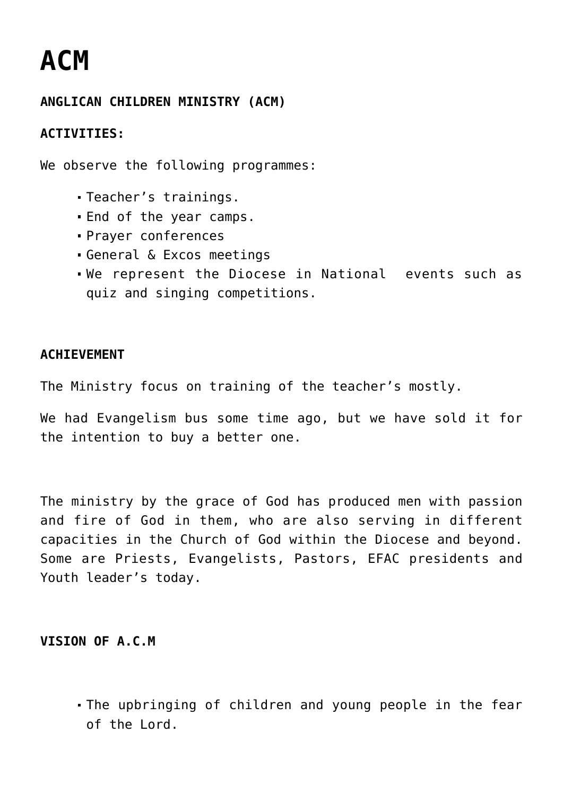# **[ACM](https://adonsk.com/acm/)**

## **ANGLICAN CHILDREN MINISTRY (ACM)**

## **ACTIVITIES:**

We observe the following programmes:

- Teacher's trainings.
- End of the year camps.
- Prayer conferences
- General & Excos meetings
- We represent the Diocese in National events such as quiz and singing competitions.

### **ACHIEVEMENT**

The Ministry focus on training of the teacher's mostly.

We had Evangelism bus some time ago, but we have sold it for the intention to buy a better one.

The ministry by the grace of God has produced men with passion and fire of God in them, who are also serving in different capacities in the Church of God within the Diocese and beyond. Some are Priests, Evangelists, Pastors, EFAC presidents and Youth leader's today.

### **VISION OF A.C.M**

The upbringing of children and young people in the fear of the Lord.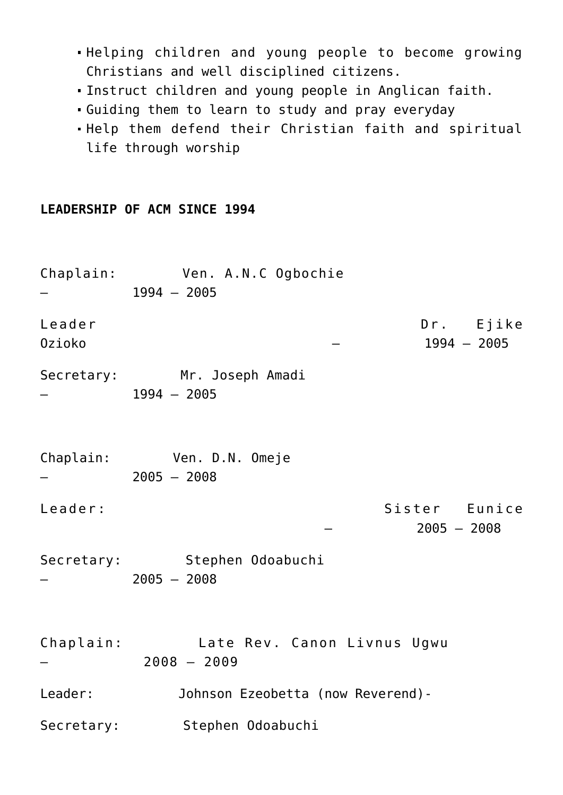- Helping children and young people to become growing Christians and well disciplined citizens.
- Instruct children and young people in Anglican faith.
- Guiding them to learn to study and pray everyday
- Help them defend their Christian faith and spiritual life through worship

#### **LEADERSHIP OF ACM SINCE 1994**

| Chaplain: Ven. A.N.C Ogbochie<br>$1994 - 2005$                                                                                                       |
|------------------------------------------------------------------------------------------------------------------------------------------------------|
| Dr. Ejike<br>$1994 - 2005$                                                                                                                           |
| Secretary: Mr. Joseph Amadi<br>$1994 - 2005$                                                                                                         |
| Chaplain: Ven. D.N. Omeje<br>$2005 - 2008$                                                                                                           |
| Sister Eunice<br>$2005 - 2008$                                                                                                                       |
| Secretary: Stephen Odoabuchi<br>$2005 - 2008$                                                                                                        |
| Chaplain:<br>Late Rev. Canon Livnus Ugwu<br>$2008 - 2009$                                                                                            |
| Leader: when the set of the set of the set of the set of the set of the set of the set of the set of the set o<br>Johnson Ezeobetta (now Reverend) - |
| Stephen Odoabuchi<br>Secretary:                                                                                                                      |
|                                                                                                                                                      |